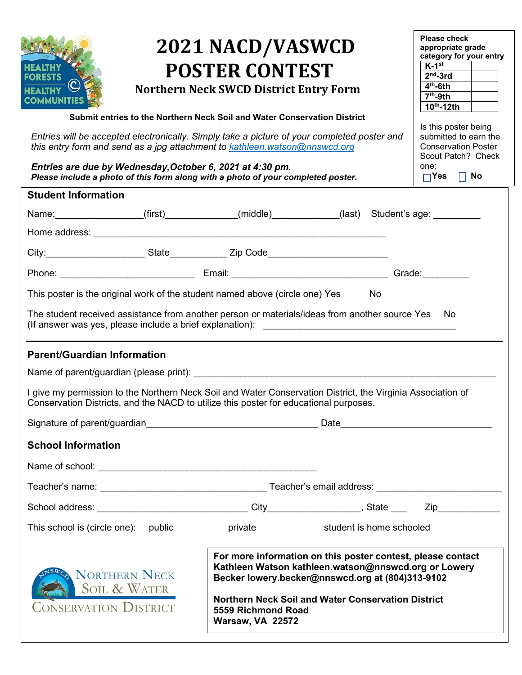| <b>ORESTS</b><br>Entries will be accepted electronically. Simply take a picture of your completed poster and<br>this entry form and send as a jpg attachment to kathleen.watson@nnswcd.org<br>Entries are due by Wednesday, October 6, 2021 at 4:30 pm.<br>Please include a photo of this form along with a photo of your completed poster.         | 2021 NACD/VASWCD<br><b>POSTER CONTEST</b><br><b>Northern Neck SWCD District Entry Form</b><br>Submit entries to the Northern Neck Soil and Water Conservation District |                                                                                                                                                                                                                               | <b>Please check</b><br>appropriate grade<br>category for your entry<br>$K-1$ <sup>st</sup><br>$2nd$ -3rd<br>$4th$ -6th<br>$7th$ -9th<br>$10th - 12th$<br>Is this poster being<br>submitted to earn the<br><b>Conservation Poster</b><br>Scout Patch? Check<br>one:<br>$\Box$ Yes $\Box$ No |  |
|-----------------------------------------------------------------------------------------------------------------------------------------------------------------------------------------------------------------------------------------------------------------------------------------------------------------------------------------------------|------------------------------------------------------------------------------------------------------------------------------------------------------------------------|-------------------------------------------------------------------------------------------------------------------------------------------------------------------------------------------------------------------------------|--------------------------------------------------------------------------------------------------------------------------------------------------------------------------------------------------------------------------------------------------------------------------------------------|--|
| <b>Student Information</b>                                                                                                                                                                                                                                                                                                                          |                                                                                                                                                                        |                                                                                                                                                                                                                               |                                                                                                                                                                                                                                                                                            |  |
| Name: (first) (first) (first) (middle) (ast) Student's age:                                                                                                                                                                                                                                                                                         |                                                                                                                                                                        |                                                                                                                                                                                                                               |                                                                                                                                                                                                                                                                                            |  |
|                                                                                                                                                                                                                                                                                                                                                     |                                                                                                                                                                        |                                                                                                                                                                                                                               |                                                                                                                                                                                                                                                                                            |  |
|                                                                                                                                                                                                                                                                                                                                                     |                                                                                                                                                                        |                                                                                                                                                                                                                               |                                                                                                                                                                                                                                                                                            |  |
|                                                                                                                                                                                                                                                                                                                                                     |                                                                                                                                                                        |                                                                                                                                                                                                                               |                                                                                                                                                                                                                                                                                            |  |
| This poster is the original work of the student named above (circle one) Yes<br>No                                                                                                                                                                                                                                                                  |                                                                                                                                                                        |                                                                                                                                                                                                                               |                                                                                                                                                                                                                                                                                            |  |
| The student received assistance from another person or materials/ideas from another source Yes<br>No.<br><b>Parent/Guardian Information</b><br>I give my permission to the Northern Neck Soil and Water Conservation District, the Virginia Association of<br>Conservation Districts, and the NACD to utilize this poster for educational purposes. |                                                                                                                                                                        |                                                                                                                                                                                                                               |                                                                                                                                                                                                                                                                                            |  |
|                                                                                                                                                                                                                                                                                                                                                     |                                                                                                                                                                        |                                                                                                                                                                                                                               |                                                                                                                                                                                                                                                                                            |  |
| <b>School Information</b>                                                                                                                                                                                                                                                                                                                           |                                                                                                                                                                        |                                                                                                                                                                                                                               |                                                                                                                                                                                                                                                                                            |  |
|                                                                                                                                                                                                                                                                                                                                                     |                                                                                                                                                                        |                                                                                                                                                                                                                               |                                                                                                                                                                                                                                                                                            |  |
|                                                                                                                                                                                                                                                                                                                                                     |                                                                                                                                                                        |                                                                                                                                                                                                                               |                                                                                                                                                                                                                                                                                            |  |
|                                                                                                                                                                                                                                                                                                                                                     |                                                                                                                                                                        |                                                                                                                                                                                                                               |                                                                                                                                                                                                                                                                                            |  |
| This school is (circle one): public                                                                                                                                                                                                                                                                                                                 | private                                                                                                                                                                | student is home schooled                                                                                                                                                                                                      |                                                                                                                                                                                                                                                                                            |  |
| <b>NORTHERN NECK</b><br><b>SOIL &amp; WATER</b><br>ONSERVATION DISTRICT                                                                                                                                                                                                                                                                             | 5559 Richmond Road<br><b>Warsaw, VA 22572</b>                                                                                                                          | For more information on this poster contest, please contact<br>Kathleen Watson kathleen.watson@nnswcd.org or Lowery<br>Becker lowery.becker@nnswcd.org at (804)313-9102<br>Northern Neck Soil and Water Conservation District |                                                                                                                                                                                                                                                                                            |  |